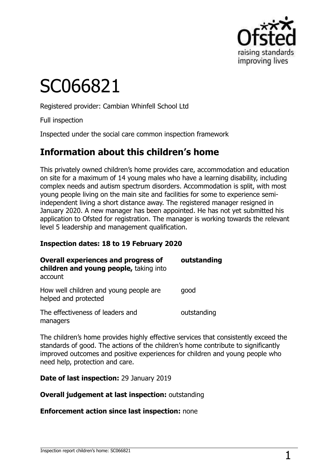

# SC066821

Registered provider: Cambian Whinfell School Ltd

Full inspection

Inspected under the social care common inspection framework

## **Information about this children's home**

This privately owned children's home provides care, accommodation and education on site for a maximum of 14 young males who have a learning disability, including complex needs and autism spectrum disorders. Accommodation is split, with most young people living on the main site and facilities for some to experience semiindependent living a short distance away. The registered manager resigned in January 2020. A new manager has been appointed. He has not yet submitted his application to Ofsted for registration. The manager is working towards the relevant level 5 leadership and management qualification.

#### **Inspection dates: 18 to 19 February 2020**

| <b>Overall experiences and progress of</b><br>children and young people, taking into<br>account | outstanding |
|-------------------------------------------------------------------------------------------------|-------------|
| How well children and young people are<br>helped and protected                                  | good        |
| The effectiveness of leaders and<br>managers                                                    | outstanding |

The children's home provides highly effective services that consistently exceed the standards of good. The actions of the children's home contribute to significantly improved outcomes and positive experiences for children and young people who need help, protection and care.

**Date of last inspection:** 29 January 2019

**Overall judgement at last inspection:** outstanding

**Enforcement action since last inspection:** none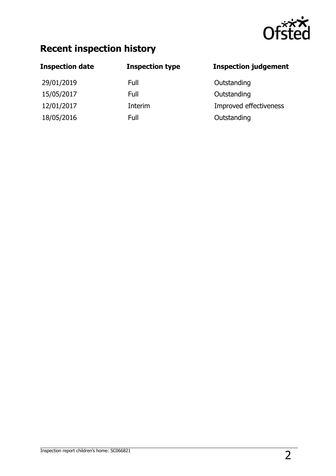

## **Recent inspection history**

| <b>Inspection date</b> | <b>Inspection type</b> | <b>Inspection judgement</b> |
|------------------------|------------------------|-----------------------------|
| 29/01/2019             | Full                   | Outstanding                 |
| 15/05/2017             | Full                   | Outstanding                 |
| 12/01/2017             | Interim                | Improved effectiveness      |
| 18/05/2016             | Full                   | Outstanding                 |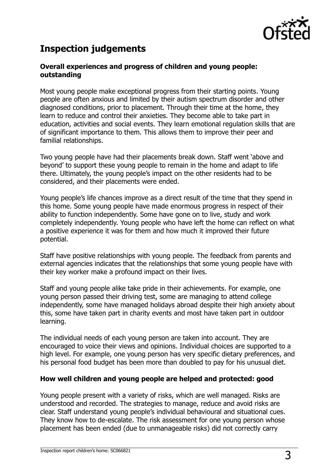

## **Inspection judgements**

#### **Overall experiences and progress of children and young people: outstanding**

Most young people make exceptional progress from their starting points. Young people are often anxious and limited by their autism spectrum disorder and other diagnosed conditions, prior to placement. Through their time at the home, they learn to reduce and control their anxieties. They become able to take part in education, activities and social events. They learn emotional regulation skills that are of significant importance to them. This allows them to improve their peer and familial relationships.

Two young people have had their placements break down. Staff went 'above and beyond' to support these young people to remain in the home and adapt to life there. Ultimately, the young people's impact on the other residents had to be considered, and their placements were ended.

Young people's life chances improve as a direct result of the time that they spend in this home. Some young people have made enormous progress in respect of their ability to function independently. Some have gone on to live, study and work completely independently. Young people who have left the home can reflect on what a positive experience it was for them and how much it improved their future potential.

Staff have positive relationships with young people. The feedback from parents and external agencies indicates that the relationships that some young people have with their key worker make a profound impact on their lives.

Staff and young people alike take pride in their achievements. For example, one young person passed their driving test, some are managing to attend college independently, some have managed holidays abroad despite their high anxiety about this, some have taken part in charity events and most have taken part in outdoor learning.

The individual needs of each young person are taken into account. They are encouraged to voice their views and opinions. Individual choices are supported to a high level. For example, one young person has very specific dietary preferences, and his personal food budget has been more than doubled to pay for his unusual diet.

#### **How well children and young people are helped and protected: good**

Young people present with a variety of risks, which are well managed. Risks are understood and recorded. The strategies to manage, reduce and avoid risks are clear. Staff understand young people's individual behavioural and situational cues. They know how to de-escalate. The risk assessment for one young person whose placement has been ended (due to unmanageable risks) did not correctly carry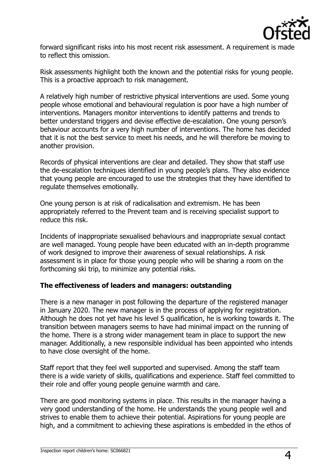

forward significant risks into his most recent risk assessment. A requirement is made to reflect this omission.

Risk assessments highlight both the known and the potential risks for young people. This is a proactive approach to risk management.

A relatively high number of restrictive physical interventions are used. Some young people whose emotional and behavioural regulation is poor have a high number of interventions. Managers monitor interventions to identify patterns and trends to better understand triggers and devise effective de-escalation. One young person's behaviour accounts for a very high number of interventions. The home has decided that it is not the best service to meet his needs, and he will therefore be moving to another provision.

Records of physical interventions are clear and detailed. They show that staff use the de-escalation techniques identified in young people's plans. They also evidence that young people are encouraged to use the strategies that they have identified to regulate themselves emotionally.

One young person is at risk of radicalisation and extremism. He has been appropriately referred to the Prevent team and is receiving specialist support to reduce this risk.

Incidents of inappropriate sexualised behaviours and inappropriate sexual contact are well managed. Young people have been educated with an in-depth programme of work designed to improve their awareness of sexual relationships. A risk assessment is in place for those young people who will be sharing a room on the forthcoming ski trip, to minimize any potential risks.

#### **The effectiveness of leaders and managers: outstanding**

There is a new manager in post following the departure of the registered manager in January 2020. The new manager is in the process of applying for registration. Although he does not yet have his level 5 qualification, he is working towards it. The transition between managers seems to have had minimal impact on the running of the home. There is a strong wider management team in place to support the new manager. Additionally, a new responsible individual has been appointed who intends to have close oversight of the home.

Staff report that they feel well supported and supervised. Among the staff team there is a wide variety of skills, qualifications and experience. Staff feel committed to their role and offer young people genuine warmth and care.

There are good monitoring systems in place. This results in the manager having a very good understanding of the home. He understands the young people well and strives to enable them to achieve their potential. Aspirations for young people are high, and a commitment to achieving these aspirations is embedded in the ethos of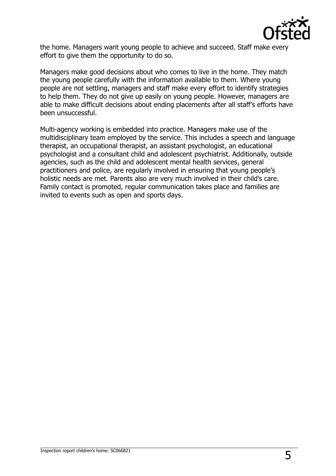

the home. Managers want young people to achieve and succeed. Staff make every effort to give them the opportunity to do so.

Managers make good decisions about who comes to live in the home. They match the young people carefully with the information available to them. Where young people are not settling, managers and staff make every effort to identify strategies to help them. They do not give up easily on young people. However, managers are able to make difficult decisions about ending placements after all staff's efforts have been unsuccessful.

Multi-agency working is embedded into practice. Managers make use of the multidisciplinary team employed by the service. This includes a speech and language therapist, an occupational therapist, an assistant psychologist, an educational psychologist and a consultant child and adolescent psychiatrist. Additionally, outside agencies, such as the child and adolescent mental health services, general practitioners and police, are regularly involved in ensuring that young people's holistic needs are met. Parents also are very much involved in their child's care. Family contact is promoted, regular communication takes place and families are invited to events such as open and sports days.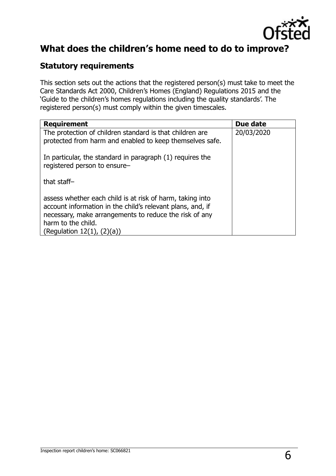

## **What does the children's home need to do to improve?**

#### **Statutory requirements**

This section sets out the actions that the registered person(s) must take to meet the Care Standards Act 2000, Children's Homes (England) Regulations 2015 and the 'Guide to the children's homes regulations including the quality standards'. The registered person(s) must comply within the given timescales.

| <b>Requirement</b>                                                                                                                                                                                                                     | Due date   |
|----------------------------------------------------------------------------------------------------------------------------------------------------------------------------------------------------------------------------------------|------------|
| The protection of children standard is that children are<br>protected from harm and enabled to keep themselves safe.                                                                                                                   | 20/03/2020 |
| In particular, the standard in paragraph (1) requires the<br>registered person to ensure-                                                                                                                                              |            |
| that staff-                                                                                                                                                                                                                            |            |
| assess whether each child is at risk of harm, taking into<br>account information in the child's relevant plans, and, if<br>necessary, make arrangements to reduce the risk of any<br>harm to the child.<br>(Regulation $12(1)$ , $(2)$ |            |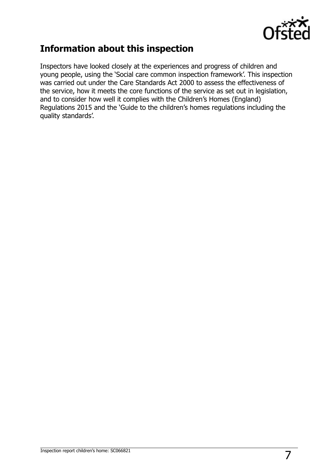

## **Information about this inspection**

Inspectors have looked closely at the experiences and progress of children and young people, using the 'Social care common inspection framework'. This inspection was carried out under the Care Standards Act 2000 to assess the effectiveness of the service, how it meets the core functions of the service as set out in legislation, and to consider how well it complies with the Children's Homes (England) Regulations 2015 and the 'Guide to the children's homes regulations including the quality standards'.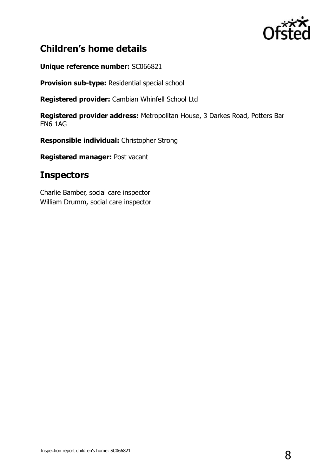

## **Children's home details**

**Unique reference number:** SC066821

**Provision sub-type:** Residential special school

**Registered provider:** Cambian Whinfell School Ltd

**Registered provider address:** Metropolitan House, 3 Darkes Road, Potters Bar EN6 1AG

**Responsible individual:** Christopher Strong

**Registered manager:** Post vacant

## **Inspectors**

Charlie Bamber, social care inspector William Drumm, social care inspector